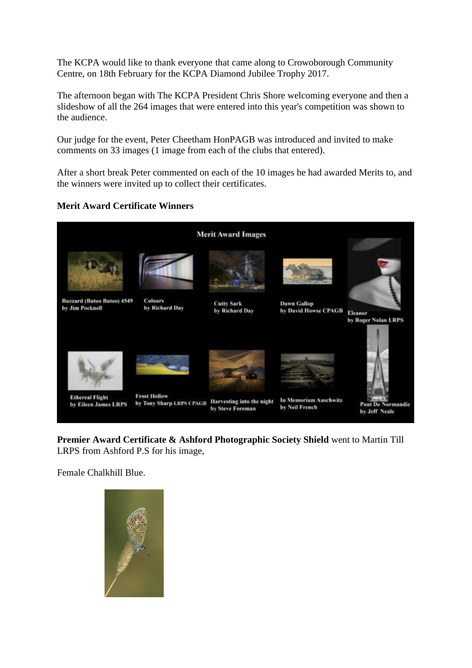The KCPA would like to thank everyone that came along to Crowoborough Community Centre, on 18th February for the KCPA Diamond Jubilee Trophy 2017.

The afternoon began with The KCPA President Chris Shore welcoming everyone and then a slideshow of all the 264 images that were entered into this year's competition was shown to the audience.

Our judge for the event, Peter Cheetham HonPAGB was introduced and invited to make comments on 33 images (1 image from each of the clubs that entered).

After a short break Peter commented on each of the 10 images he had awarded Merits to, and the winners were invited up to collect their certificates.

## **Merit Award Certificate Winners**



**Premier Award Certificate & Ashford Photographic Society Shield** went to Martin Till LRPS from Ashford P.S for his image,

Female Chalkhill Blue.

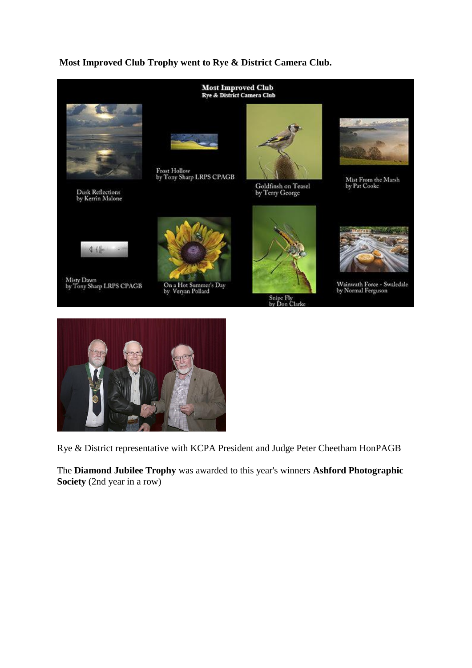## **Most Improved Club Trophy went to Rye & District Camera Club.**





Rye & District representative with KCPA President and Judge Peter Cheetham HonPAGB

The **Diamond Jubilee Trophy** was awarded to this year's winners **Ashford Photographic Society** (2nd year in a row)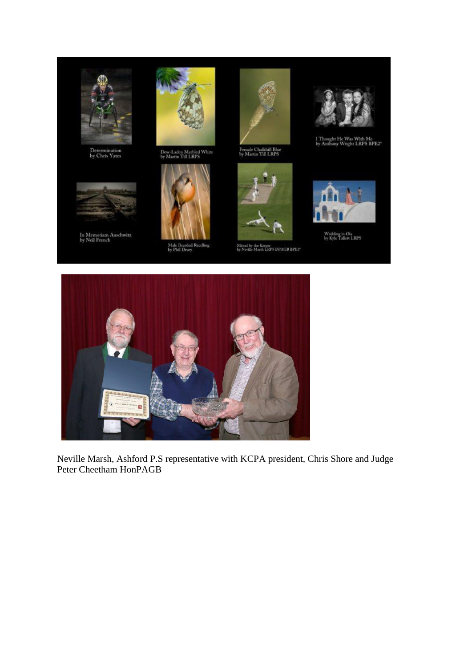

Neville Marsh, Ashford P.S representative with KCPA president, Chris Shore and Judge Peter Cheetham HonPAGB